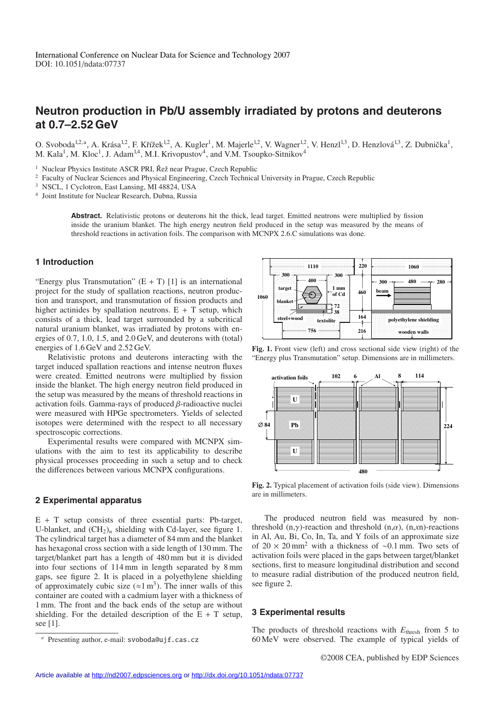# **Neutron production in Pb/U assembly irradiated by protons and deuterons at 0.7–2.52 GeV**

O. Svoboda<sup>1,2, a</sup>, A. Krása<sup>1,2</sup>, F. Křížek<sup>1,2</sup>, A. Kugler<sup>1</sup>, M. Majerle<sup>1,2</sup>, V. Wagner<sup>1,2</sup>, V. Henzl<sup>1,3</sup>, D. Henzlová<sup>1,3</sup>, Z. Dubnička<sup>1</sup>, M. Kala<sup>1</sup>, M. Kloc<sup>1</sup>, J. Adam<sup>1,4</sup>, M.I. Krivopustov<sup>4</sup>, and V.M. Tsoupko-Sitnikov<sup>4</sup>

<sup>1</sup> Nuclear Physics Institute ASCR PRI, Řež near Prague, Czech Republic

<sup>2</sup> Faculty of Nuclear Sciences and Physical Engineering, Czech Technical University in Prague, Czech Republic

<sup>3</sup> NSCL, 1 Cyclotron, East Lansing, MI 48824, USA

<sup>4</sup> Joint Institute for Nuclear Research, Dubna, Russia

**Abstract.** Relativistic protons or deuterons hit the thick, lead target. Emitted neutrons were multiplied by fission inside the uranium blanket. The high energy neutron field produced in the setup was measured by the means of threshold reactions in activation foils. The comparison with MCNPX 2.6.C simulations was done.

### **1 Introduction**

"Energy plus Transmutation"  $(E + T)$  [1] is an international project for the study of spallation reactions, neutron production and transport, and transmutation of fission products and higher actinides by spallation neutrons.  $E + T$  setup, which consists of a thick, lead target surrounded by a subcritical natural uranium blanket, was irradiated by protons with energies of 0.7, 1.0, 1.5, and 2.0 GeV, and deuterons with (total) energies of 1.6 GeV and 2.52 GeV.

Relativistic protons and deuterons interacting with the target induced spallation reactions and intense neutron fluxes were created. Emitted neutrons were multiplied by fission inside the blanket. The high energy neutron field produced in the setup was measured by the means of threshold reactions in activation foils. Gamma-rays of produced β-radioactive nuclei were measured with HPGe spectrometers. Yields of selected isotopes were determined with the respect to all necessary spectroscopic corrections.

Experimental results were compared with MCNPX simulations with the aim to test its applicability to describe physical processes proceeding in such a setup and to check the differences between various MCNPX configurations.

### **2 Experimental apparatus**

 $E + T$  setup consists of three essential parts: Pb-target, U-blanket, and  $(CH_2)_n$  shielding with Cd-layer, see figure 1. The cylindrical target has a diameter of 84 mm and the blanket has hexagonal cross section with a side length of 130 mm. The target/blanket part has a length of 480 mm but it is divided into four sections of 114 mm in length separated by 8 mm gaps, see figure 2. It is placed in a polyethylene shielding of approximately cubic size ( $\approx 1 \text{ m}^3$ ). The inner walls of this container are coated with a cadmium layer with a thickness of 1 mm. The front and the back ends of the setup are without shielding. For the detailed description of the  $E + T$  setup, see [1].



**Fig. 1.** Front view (left) and cross sectional side view (right) of the "Energy plus Transmutation" setup. Dimensions are in millimeters.



**Fig. 2.** Typical placement of activation foils (side view). Dimensions are in millimeters.

The produced neutron field was measured by nonthreshold (n,γ)-reaction and threshold (n,α), (n,*x*n)-reactions in Al, Au, Bi, Co, In, Ta, and Y foils of an approximate size of 20 × 20 mm2 with a thickness of ∼0.1 mm. Two sets of activation foils were placed in the gaps between target/blanket sections, first to measure longitudinal distribution and second to measure radial distribution of the produced neutron field, see figure 2.

### **3 Experimental results**

The products of threshold reactions with *E*thresh from 5 to 60 MeV were observed. The example of typical yields of

Presenting author, e-mail: svoboda@ujf.cas.cz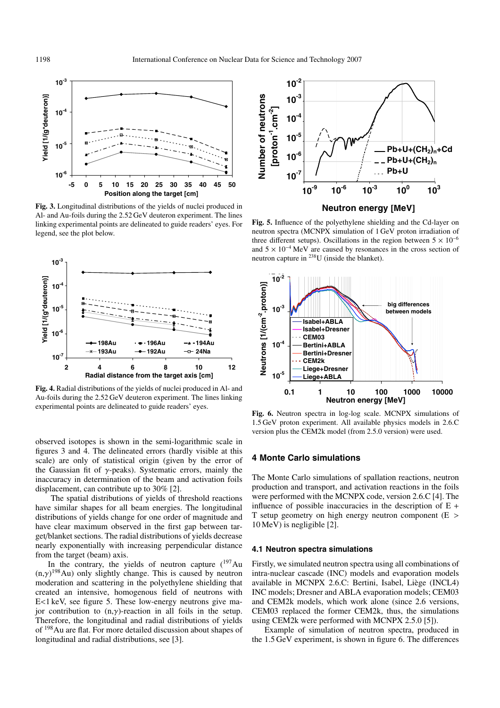

**Fig. 3.** Longitudinal distributions of the yields of nuclei produced in Al- and Au-foils during the 2.52 GeV deuteron experiment. The lines linking experimental points are delineated to guide readers' eyes. For legend, see the plot below.



**Fig. 4.** Radial distributions of the yields of nuclei produced in Al- and Au-foils during the 2.52 GeV deuteron experiment. The lines linking experimental points are delineated to guide readers' eyes.

observed isotopes is shown in the semi-logarithmic scale in figures 3 and 4. The delineated errors (hardly visible at this scale) are only of statistical origin (given by the error of the Gaussian fit of  $\gamma$ -peaks). Systematic errors, mainly the inaccuracy in determination of the beam and activation foils displacement, can contribute up to 30% [2].

The spatial distributions of yields of threshold reactions have similar shapes for all beam energies. The longitudinal distributions of yields change for one order of magnitude and have clear maximum observed in the first gap between target/blanket sections. The radial distributions of yields decrease nearly exponentially with increasing perpendicular distance from the target (beam) axis.

In the contrary, the yields of neutron capture  $(^{197}Au$  $(n, \gamma)^{198}$ Au) only slightly change. This is caused by neutron moderation and scattering in the polyethylene shielding that created an intensive, homogenous field of neutrons with E<1 keV, see figure 5. These low-energy neutrons give major contribution to  $(n, \gamma)$ -reaction in all foils in the setup. Therefore, the longitudinal and radial distributions of yields of 198Au are flat. For more detailed discussion about shapes of longitudinal and radial distributions, see [3].



**Fig. 5.** Influence of the polyethylene shielding and the Cd-layer on neutron spectra (MCNPX simulation of 1 GeV proton irradiation of three different setups). Oscillations in the region between  $5 \times 10^{-6}$ and  $5 \times 10^{-4}$  MeV are caused by resonances in the cross section of neutron capture in 238U (inside the blanket).



**Fig. 6.** Neutron spectra in log-log scale. MCNPX simulations of 1.5 GeV proton experiment. All available physics models in 2.6.C version plus the CEM2k model (from 2.5.0 version) were used.

### **4 Monte Carlo simulations**

The Monte Carlo simulations of spallation reactions, neutron production and transport, and activation reactions in the foils were performed with the MCNPX code, version 2.6.C [4]. The influence of possible inaccuracies in the description of  $E +$ T setup geometry on high energy neutron component (E > 10 MeV) is negligible [2].

#### **4.1 Neutron spectra simulations**

Firstly, we simulated neutron spectra using all combinations of intra-nuclear cascade (INC) models and evaporation models available in MCNPX 2.6.C: Bertini, Isabel, Liege (INCL4) ` INC models; Dresner and ABLA evaporation models; CEM03 and CEM2k models, which work alone (since 2.6 versions, CEM03 replaced the former CEM2k, thus, the simulations using CEM2k were performed with MCNPX 2.5.0 [5]).

Example of simulation of neutron spectra, produced in the 1.5 GeV experiment, is shown in figure 6. The differences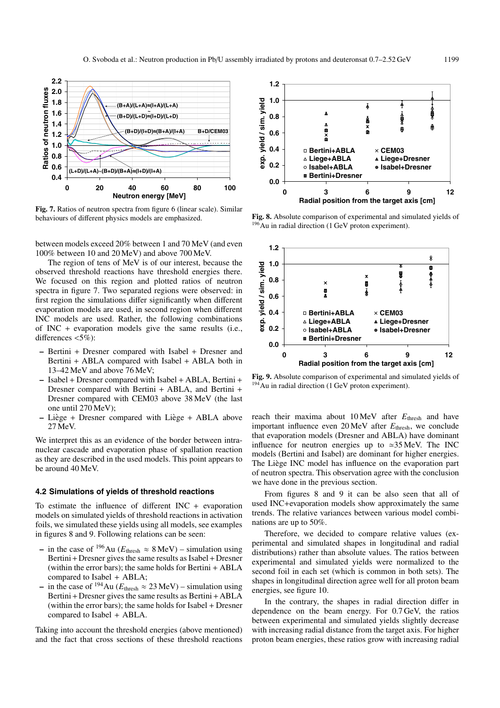

**Fig. 7.** Ratios of neutron spectra from figure 6 (linear scale). Similar behaviours of different physics models are emphasized.

between models exceed 20% between 1 and 70 MeV (and even 100% between 10 and 20 MeV) and above 700 MeV.

The region of tens of MeV is of our interest, because the observed threshold reactions have threshold energies there. We focused on this region and plotted ratios of neutron spectra in figure 7. Two separated regions were observed: in first region the simulations differ significantly when different evaporation models are used, in second region when different INC models are used. Rather, the following combinations of INC + evaporation models give the same results (i.e., differences <5%):

- **–** Bertini + Dresner compared with Isabel + Dresner and Bertini + ABLA compared with Isabel + ABLA both in 13–42 MeV and above 76 MeV;
- **–** Isabel + Dresner compared with Isabel + ABLA, Bertini + Dresner compared with Bertini + ABLA, and Bertini + Dresner compared with CEM03 above 38 MeV (the last one until 270 MeV);
- **–** Liege ` + Dresner compared with Liege ` + ABLA above 27 MeV.

We interpret this as an evidence of the border between intranuclear cascade and evaporation phase of spallation reaction as they are described in the used models. This point appears to be around 40 MeV.

#### **4.2 Simulations of yields of threshold reactions**

To estimate the influence of different INC + evaporation models on simulated yields of threshold reactions in activation foils, we simulated these yields using all models, see examples in figures 8 and 9. Following relations can be seen:

- **−** in the case of <sup>196</sup>Au ( $E_{\text{thresh}} \approx 8 \text{ MeV}$ ) simulation using Bertini+Dresner gives the same results as Isabel+Dresner (within the error bars); the same holds for Bertini + ABLA compared to Isabel + ABLA;
- **−** in the case of <sup>194</sup>Au ( $E$ <sub>thresh</sub> ≈ 23 MeV) simulation using Bertini+Dresner gives the same results as Bertini+ABLA (within the error bars); the same holds for Isabel + Dresner compared to Isabel + ABLA.

Taking into account the threshold energies (above mentioned) and the fact that cross sections of these threshold reactions



**Fig. 8.** Absolute comparison of experimental and simulated yields of <sup>196</sup>Au in radial direction (1 GeV proton experiment).



**Fig. 9.** Absolute comparison of experimental and simulated yields of <sup>194</sup>Au in radial direction (1 GeV proton experiment).

reach their maxima about 10 MeV after *E*thresh and have important influence even 20 MeV after  $E_{\text{thresh}}$ , we conclude that evaporation models (Dresner and ABLA) have dominant influence for neutron energies up to  $\approx 35$  MeV. The INC models (Bertini and Isabel) are dominant for higher energies. The Liège INC model has influence on the evaporation part of neutron spectra. This observation agree with the conclusion we have done in the previous section.

From figures 8 and 9 it can be also seen that all of used INC+evaporation models show approximately the same trends. The relative variances between various model combinations are up to 50%.

Therefore, we decided to compare relative values (experimental and simulated shapes in longitudinal and radial distributions) rather than absolute values. The ratios between experimental and simulated yields were normalized to the second foil in each set (which is common in both sets). The shapes in longitudinal direction agree well for all proton beam energies, see figure 10.

In the contrary, the shapes in radial direction differ in dependence on the beam energy. For 0.7 GeV, the ratios between experimental and simulated yields slightly decrease with increasing radial distance from the target axis. For higher proton beam energies, these ratios grow with increasing radial